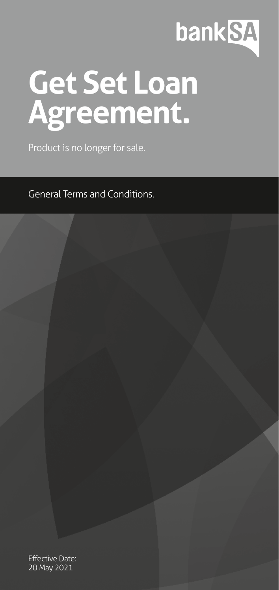# **bankSA**

## **Get Set Loan Agreement.**

Product is no longer for sale.

General Terms and Conditions.

Effective Date: 20 May 2021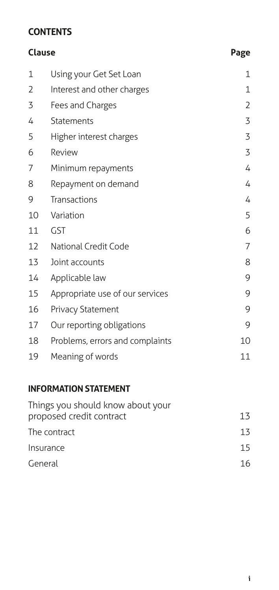## **CONTENTS**

| Clause |                                 | Page           |
|--------|---------------------------------|----------------|
| 1      | Using your Get Set Loan         | 1              |
| 2      | Interest and other charges      | 1              |
| 3      | Fees and Charges                | $\overline{2}$ |
| 4      | Statements                      | 3              |
| 5      | Higher interest charges         | 3              |
| 6      | Review                          | 3              |
| 7      | Minimum repayments              | 4              |
| 8      | Repayment on demand             | 4              |
| 9      | Transactions                    | 4              |
| 10     | Variation                       | 5              |
| 11     | GST                             | 6              |
| 12     | National Credit Code            | 7              |
| 13     | Joint accounts                  | 8              |
| 14     | Applicable law                  | 9              |
| 15     | Appropriate use of our services | 9              |
| 16     | Privacy Statement               | 9              |
| 17     | Our reporting obligations       | 9              |
| 18     | Problems, errors and complaints | 10             |
| 19     | Meaning of words                | 11             |

## **[INFORMATION STATEMENT](#page-16-0)**

| Things you should know about your |    |
|-----------------------------------|----|
| proposed credit contract          | 13 |
| The contract                      | 13 |
| Insurance                         | 15 |
| General                           | 16 |
|                                   |    |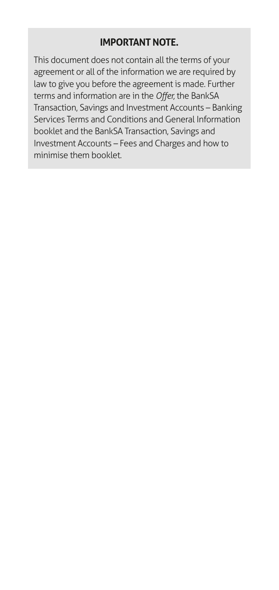#### **IMPORTANT NOTE.**

This document does not contain all the terms of your agreement or all of the information we are required by law to give you before the agreement is made. Further terms and information are in the *Offer,* the BankSA Transaction, Savings and Investment Accounts – Banking Services Terms and Conditions and General Information booklet and the BankSA Transaction, Savings and Investment Accounts – Fees and Charges and how to minimise them booklet.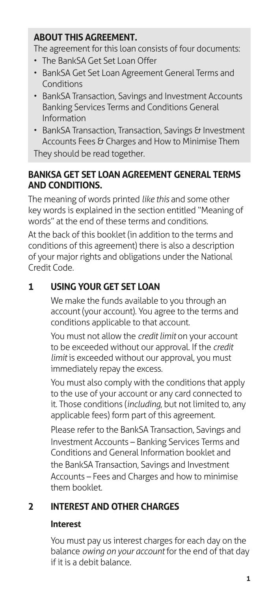## <span id="page-4-0"></span>**ABOUT THIS AGREEMENT.**

The agreement for this loan consists of four documents:

- The BankSA Get Set Loan Offer
- BankSA Get Set Loan Agreement General Terms and **Conditions**
- BankSA Transaction, Savings and Investment Accounts Banking Services Terms and Conditions General Information
- BankSA Transaction, Transaction, Savings & Investment Accounts Fees & Charges and How to Minimise Them

They should be read together.

## **BANKSA GET SET LOAN AGREEMENT GENERAL TERMS AND CONDITIONS.**

The meaning of words printed *like this* and some other key words is explained in the section entitled "Meaning of words" at the end of these terms and conditions.

At the back of this booklet (in addition to the terms and conditions of this agreement) there is also a description of your major rights and obligations under the National Credit Code.

## **1 USING YOUR GET SET LOAN**

We make the funds available to you through an account (your account). You agree to the terms and conditions applicable to that account.

You must not allow the *credit limit* on your account to be exceeded without our approval. If the *credit limit* is exceeded without our approval, you must immediately repay the excess.

You must also comply with the conditions that apply to the use of your account or any card connected to it. Those conditions (*including*, but not limited to, any applicable fees) form part of this agreement.

Please refer to the BankSA Transaction, Savings and Investment Accounts – Banking Services Terms and Conditions and General Information booklet and the BankSA Transaction, Savings and Investment Accounts – Fees and Charges and how to minimise them booklet.

## **2 INTEREST AND OTHER CHARGES**

## **Interest**

You must pay us interest charges for each day on the balance *owing on your account* for the end of that day if it is a debit balance.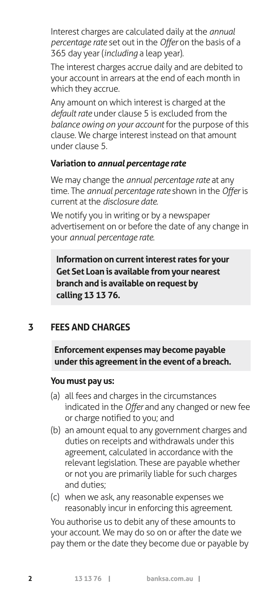<span id="page-5-0"></span>Interest charges are calculated daily at the *annual percentage rate* set out in the *Offer* on the basis of a 365 day year (*including* a leap year).

The interest charges accrue daily and are debited to your account in arrears at the end of each month in which they accrue.

Any amount on which interest is charged at the *default rate* under clause 5 is excluded from the *balance owing on your account* for the purpose of this clause. We charge interest instead on that amount under clause 5.

#### **Variation to** *annual percentage rate*

We may change the *annual percentage rate* at any time. The *annual percentage rate* shown in the *Offer* is current at the *disclosure date*.

We notify you in writing or by a newspaper advertisement on or before the date of any change in your *annual percentage rate*.

**Information on current interest rates for your Get Set Loan is available from your nearest branch and is available on request by calling 13 13 76.**

## **3 FEES AND CHARGES**

 **Enforcement expenses may become payable under this agreement in the event of a breach.**

#### **You must pay us:**

- (a) all fees and charges in the circumstances indicated in the *Offer* and any changed or new fee or charge notified to you; and
- (b) an amount equal to any government charges and duties on receipts and withdrawals under this agreement, calculated in accordance with the relevant legislation. These are payable whether or not you are primarily liable for such charges and duties;
- (c) when we ask, any reasonable expenses we reasonably incur in enforcing this agreement.

You authorise us to debit any of these amounts to your account. We may do so on or after the date we pay them or the date they become due or payable by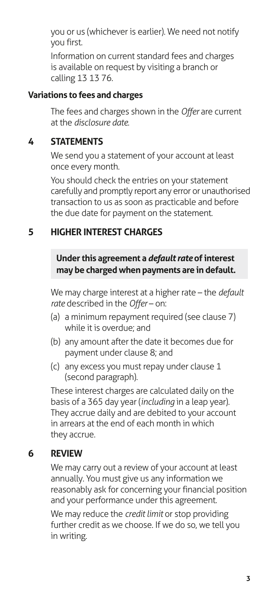<span id="page-6-0"></span>you or us (whichever is earlier). We need not notify you first.

Information on current standard fees and charges is available on request by visiting a branch or calling 13 13 76.

## **Variations to fees and charges**

The fees and charges shown in the *Offer* are current at the *disclosure date*.

## **4 STATEMENTS**

We send you a statement of your account at least once every month.

You should check the entries on your statement carefully and promptly report any error or unauthorised transaction to us as soon as practicable and before the due date for payment on the statement.

## **5 HIGHER INTEREST CHARGES**

#### **Under this agreement a** *default rate* **of interest may be charged when payments are in default.**

We may charge interest at a higher rate – the *default rate* described in the *Offer* – on:

- (a) a minimum repayment required (see clause 7) while it is overdue; and
- (b) any amount after the date it becomes due for payment under clause 8; and
- (c) any excess you must repay under clause 1 (second paragraph).

These interest charges are calculated daily on the basis of a 365 day year (*including* in a leap year). They accrue daily and are debited to your account in arrears at the end of each month in which they accrue.

## **6 REVIEW**

We may carry out a review of your account at least annually. You must give us any information we reasonably ask for concerning your financial position and your performance under this agreement.

We may reduce the *credit limit* or stop providing further credit as we choose. If we do so, we tell you in writing.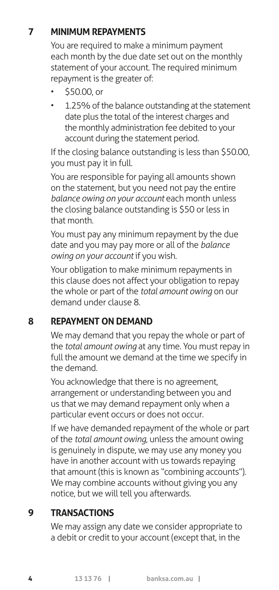## <span id="page-7-0"></span>**7 MINIMUM REPAYMENTS**

You are required to make a minimum payment each month by the due date set out on the monthly statement of your account. The required minimum repayment is the greater of:

- $•$  \$50.00, or
- 1.25% of the balance outstanding at the statement date plus the total of the interest charges and the monthly administration fee debited to your account during the statement period.

If the closing balance outstanding is less than \$50.00, you must pay it in full.

You are responsible for paying all amounts shown on the statement, but you need not pay the entire *balance owing on your account* each month unless the closing balance outstanding is \$50 or less in that month.

You must pay any minimum repayment by the due date and you may pay more or all of the *balance owing on your account* if you wish.

Your obligation to make minimum repayments in this clause does not affect your obligation to repay the whole or part of the *total amount owing* on our demand under clause 8.

#### **8 REPAYMENT ON DEMAND**

We may demand that you repay the whole or part of the *total amount owing* at any time. You must repay in full the amount we demand at the time we specify in the demand.

You acknowledge that there is no agreement, arrangement or understanding between you and us that we may demand repayment only when a particular event occurs or does not occur.

If we have demanded repayment of the whole or part of the *total amount owing*, unless the amount owing is genuinely in dispute, we may use any money you have in another account with us towards repaying that amount (this is known as "combining accounts"). We may combine accounts without giving you any notice, but we will tell you afterwards.

## **9 TRANSACTIONS**

We may assign any date we consider appropriate to a debit or credit to your account (except that, in the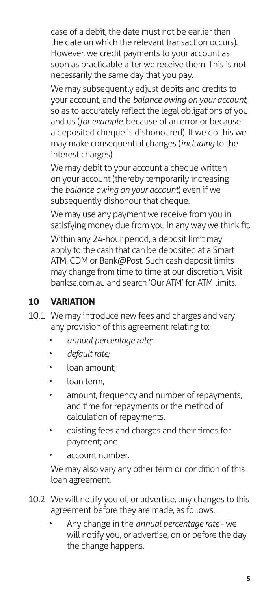<span id="page-8-0"></span>case of a debit, the date must not be earlier than the date on which the relevant transaction occurs). However, we credit payments to your account as soon as practicable after we receive them. This is not necessarily the same day that you pay.

We may subsequently adjust debits and credits to your account, and the *balance owing on your account*, so as to accurately reflect the legal obligations of you and us (*for example*, because of an error or because a deposited cheque is dishonoured). If we do this we may make consequential changes (*including* to the interest charges).

We may debit to your account a cheque written on your account (thereby temporarily increasing the *balance owing on your account*) even if we subsequently dishonour that cheque.

We may use any payment we receive from you in satisfying money due from you in any way we think fit.

Within any 24-hour period, a deposit limit may apply to the cash that can be deposited at a Smart ATM, CDM or Bank@Post. Such cash deposit limits may change from time to time at our discretion. Visit [banksa.com.au](http://banksa.com.au) and search 'Our ATM' for ATM limits.

## **10 VARIATION**

- 10.1 We may introduce new fees and charges and vary any provision of this agreement relating to:
	- *annual percentage rate;*
	- *default rate;*
	- loan amount;
	- loan term,
	- amount, frequency and number of repayments, and time for repayments or the method of calculation of repayments.
	- existing fees and charges and their times for payment; and
	- account number.

We may also vary any other term or condition of this loan agreement.

- 10.2 We will notify you of, or advertise, any changes to this agreement before they are made, as follows.
	- Any change in the *annual percentage rate* we will notify you, or advertise, on or before the day the change happens.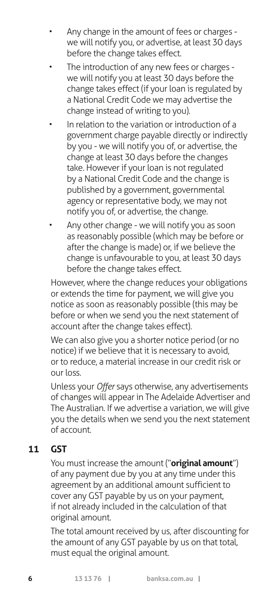- <span id="page-9-0"></span>• Any change in the amount of fees or charges we will notify you, or advertise, at least 30 days before the change takes effect.
- The introduction of any new fees or charges we will notify you at least 30 days before the change takes effect (if your loan is regulated by a National Credit Code we may advertise the change instead of writing to you).
- In relation to the variation or introduction of a government charge payable directly or indirectly by you - we will notify you of, or advertise, the change at least 30 days before the changes take. However if your loan is not regulated by a National Credit Code and the change is published by a government, governmental agency or representative body, we may not notify you of, or advertise, the change.
- Any other change we will notify you as soon as reasonably possible (which may be before or after the change is made) or, if we believe the change is unfavourable to you, at least 30 days before the change takes effect.

However, where the change reduces your obligations or extends the time for payment, we will give you notice as soon as reasonably possible (this may be before or when we send you the next statement of account after the change takes effect).

We can also give you a shorter notice period (or no notice) if we believe that it is necessary to avoid, or to reduce, a material increase in our credit risk or our loss.

Unless your *Offer* says otherwise, any advertisements of changes will appear in The Adelaide Advertiser and The Australian. If we advertise a variation, we will give you the details when we send you the next statement of account.

## **11 GST**

You must increase the amount ("**original amount**") of any payment due by you at any time under this agreement by an additional amount sufficient to cover any GST payable by us on your payment, if not already included in the calculation of that original amount.

The total amount received by us, after discounting for the amount of any GST payable by us on that total, must equal the original amount.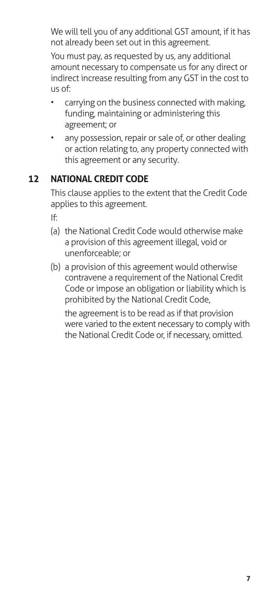<span id="page-10-0"></span>We will tell you of any additional GST amount, if it has not already been set out in this agreement.

You must pay, as requested by us, any additional amount necessary to compensate us for any direct or indirect increase resulting from any GST in the cost to us of:

- carrying on the business connected with making, funding, maintaining or administering this agreement; or
- any possession, repair or sale of, or other dealing or action relating to, any property connected with this agreement or any security.

## **12 NATIONAL CREDIT CODE**

This clause applies to the extent that the Credit Code applies to this agreement.

If:

- (a) the National Credit Code would otherwise make a provision of this agreement illegal, void or unenforceable; or
- (b) a provision of this agreement would otherwise contravene a requirement of the National Credit Code or impose an obligation or liability which is prohibited by the National Credit Code,

 the agreement is to be read as if that provision were varied to the extent necessary to comply with the National Credit Code or, if necessary, omitted.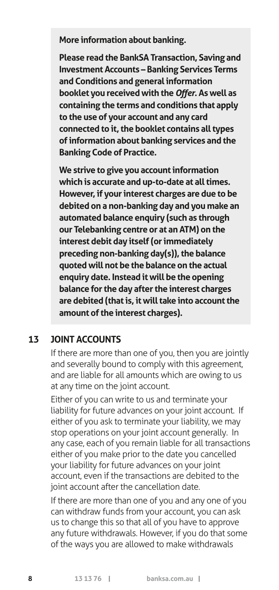<span id="page-11-0"></span>**More information about banking.**

**Please read the BankSA Transaction, Saving and Investment Accounts – Banking Services Terms and Conditions and general information booklet you received with the** *Offer***. As well as containing the terms and conditions that apply to the use of your account and any card connected to it, the booklet contains all types of information about banking services and the Banking Code of Practice.**

**We strive to give you account information which is accurate and up-to-date at all times. However, if your interest charges are due to be debited on a non-banking day and you make an automated balance enquiry (such as through our Telebanking centre or at an ATM) on the interest debit day itself (or immediately preceding non-banking day(s)), the balance quoted will not be the balance on the actual enquiry date. Instead it will be the opening balance for the day after the interest charges are debited (that is, it will take into account the amount of the interest charges).**

#### **13 JOINT ACCOUNTS**

If there are more than one of you, then you are jointly and severally bound to comply with this agreement, and are liable for all amounts which are owing to us at any time on the joint account.

Either of you can write to us and terminate your liability for future advances on your joint account. If either of you ask to terminate your liability, we may stop operations on your joint account generally. In any case, each of you remain liable for all transactions either of you make prior to the date you cancelled your liability for future advances on your joint account, even if the transactions are debited to the joint account after the cancellation date.

If there are more than one of you and any one of you can withdraw funds from your account, you can ask us to change this so that all of you have to approve any future withdrawals. However, if you do that some of the ways you are allowed to make withdrawals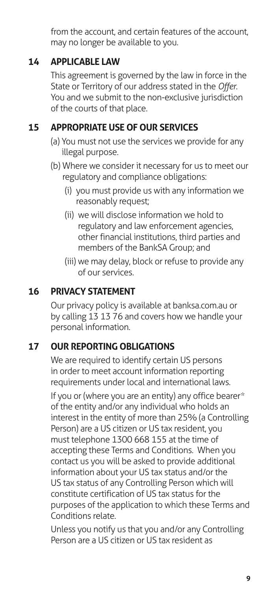<span id="page-12-0"></span>from the account, and certain features of the account, may no longer be available to you.

## **14 APPLICABLE LAW**

This agreement is governed by the law in force in the State or Territory of our address stated in the *Offer*. You and we submit to the non-exclusive jurisdiction of the courts of that place.

## **15 APPROPRIATE USE OF OUR SERVICES**

- (a) You must not use the services we provide for any illegal purpose.
- (b) Where we consider it necessary for us to meet our regulatory and compliance obligations:
	- (i) you must provide us with any information we reasonably request;
	- (ii) we will disclose information we hold to regulatory and law enforcement agencies, other financial institutions, third parties and members of the BankSA Group; and
	- (iii) we may delay, block or refuse to provide any of our services.

## **16 PRIVACY STATEMENT**

Our privacy policy is available at [banksa.com.au](http://banksa.com.au) or by calling 13 13 76 and covers how we handle your personal information.

## **17 OUR REPORTING OBLIGATIONS**

We are required to identify certain US persons in order to meet account information reporting requirements under local and international laws.

If you or (where you are an entity) any office bearer\* of the entity and/or any individual who holds an interest in the entity of more than 25% (a Controlling Person) are a US citizen or US tax resident, you must telephone 1300 668 155 at the time of accepting these Terms and Conditions. When you contact us you will be asked to provide additional information about your US tax status and/or the US tax status of any Controlling Person which will constitute certification of US tax status for the purposes of the application to which these Terms and Conditions relate.

Unless you notify us that you and/or any Controlling Person are a US citizen or US tax resident as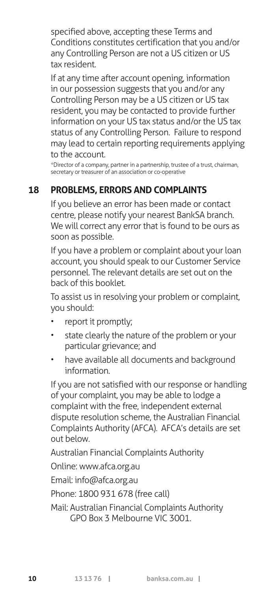<span id="page-13-0"></span>specified above, accepting these Terms and Conditions constitutes certification that you and/or any Controlling Person are not a US citizen or US tax resident.

If at any time after account opening, information in our possession suggests that you and/or any Controlling Person may be a US citizen or US tax resident, you may be contacted to provide further information on your US tax status and/or the US tax status of any Controlling Person. Failure to respond may lead to certain reporting requirements applying to the account.

\*Director of a company, partner in a partnership, trustee of a trust, chairman, secretary or treasurer of an association or co-operative

## **18 PROBLEMS, ERRORS AND COMPLAINTS**

If you believe an error has been made or contact centre, please notify your nearest BankSA branch. We will correct any error that is found to be ours as soon as possible.

If you have a problem or complaint about your loan account, you should speak to our Customer Service personnel. The relevant details are set out on the back of this booklet.

To assist us in resolving your problem or complaint, you should:

- report it promptly;
- state clearly the nature of the problem or your particular grievance; and
- have available all documents and background information.

If you are not satisfied with our response or handling of your complaint, you may be able to lodge a complaint with the free, independent external dispute resolution scheme, the Australian Financial Complaints Authority (AFCA). AFCA's details are set out below.

Australian Financial Complaints Authority

Online: [www.afca.org.au](http://www.afca.org.au)

Email: [info@afca.org.au](mailto:info%40afca.org.au?subject=)

Phone: 1800 931 678 (free call)

Mail: Australian Financial Complaints Authority GPO Box 3 Melbourne VIC 3001.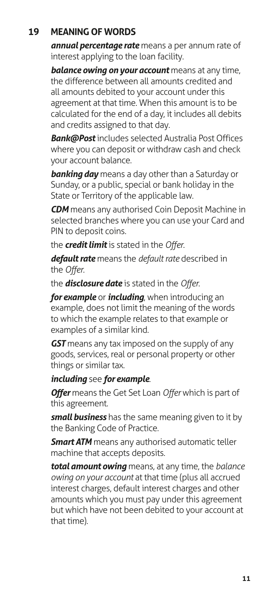## <span id="page-14-0"></span>**19 MEANING OF WORDS**

*annual percentage rate* means a per annum rate of interest applying to the loan facility.

*balance owing on your account* means at any time, the difference between all amounts credited and all amounts debited to your account under this agreement at that time. When this amount is to be calculated for the end of a day, it includes all debits and credits assigned to that day.

*Bank@Post* includes selected Australia Post Offices where you can deposit or withdraw cash and check your account balance.

*banking day* means a day other than a Saturday or Sunday, or a public, special or bank holiday in the State or Territory of the applicable law.

*CDM* means any authorised Coin Deposit Machine in selected branches where you can use your Card and PIN to deposit coins.

the *credit limit* is stated in the *Offer*.

*default rate* means the *default rate* described in the *Offer*.

the *disclosure date* is stated in the *Offer*.

*for example* or *including*, when introducing an example, does not limit the meaning of the words to which the example relates to that example or examples of a similar kind.

*GST* means any tax imposed on the supply of any goods, services, real or personal property or other things or similar tax.

#### *including* see *for example*.

*Offer* means the Get Set Loan *Offer* which is part of this agreement.

*small business* has the same meaning given to it by the Banking Code of Practice.

*Smart ATM* means any authorised automatic teller machine that accepts deposits.

*total amount owing* means, at any time, the *balance owing on your account* at that time (plus all accrued interest charges, default interest charges and other amounts which you must pay under this agreement but which have not been debited to your account at that time).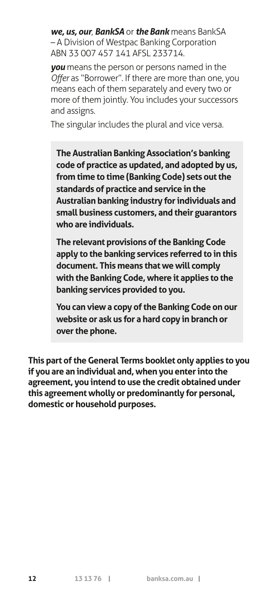*we, us, our*, *BankSA* or *the Bank* means BankSA – A Division of Westpac Banking Corporation ABN 33 007 457 141 AFSL 233714.

*you* means the person or persons named in the *Offer* as "Borrower". If there are more than one, you means each of them separately and every two or more of them jointly. You includes your successors and assigns.

The singular includes the plural and vice versa.

**The Australian Banking Association's banking code of practice as updated, and adopted by us, from time to time (Banking Code) sets out the standards of practice and service in the Australian banking industry for individuals and small business customers, and their guarantors who are individuals.** 

**The relevant provisions of the Banking Code apply to the banking services referred to in this document. This means that we will comply with the Banking Code, where it applies to the banking services provided to you.**

**You can view a copy of the Banking Code on our website or ask us for a hard copy in branch or over the phone.**

**This part of the General Terms booklet only applies to you if you are an individual and, when you enter into the agreement, you intend to use the credit obtained under this agreement wholly or predominantly for personal, domestic or household purposes.**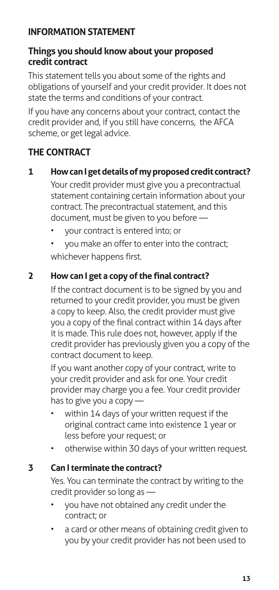## <span id="page-16-0"></span>**INFORMATION STATEMENT**

## **Things you should know about your proposed credit contract**

This statement tells you about some of the rights and obligations of yourself and your credit provider. It does not state the terms and conditions of your contract.

If you have any concerns about your contract, contact the credit provider and, if you still have concerns, the AFCA scheme, or get legal advice.

## **THE CONTRACT**

#### **1 How can I get details of my proposed credit contract?**

 Your credit provider must give you a precontractual statement containing certain information about your contract. The precontractual statement, and this document, must be given to you before —

- your contract is entered into; or
- you make an offer to enter into the contract; whichever happens first.

#### **2 How can I get a copy of the final contract?**

 If the contract document is to be signed by you and returned to your credit provider, you must be given a copy to keep. Also, the credit provider must give you a copy of the final contract within 14 days after it is made. This rule does not, however, apply if the credit provider has previously given you a copy of the contract document to keep.

 If you want another copy of your contract, write to your credit provider and ask for one. Your credit provider may charge you a fee. Your credit provider has to give you a copy —

- within 14 days of your written request if the original contract came into existence 1 year or less before your request; or
- otherwise within 30 days of your written request.

#### **3 Can I terminate the contract?**

 Yes. You can terminate the contract by writing to the credit provider so long as —

- you have not obtained any credit under the contract; or
- a card or other means of obtaining credit given to you by your credit provider has not been used to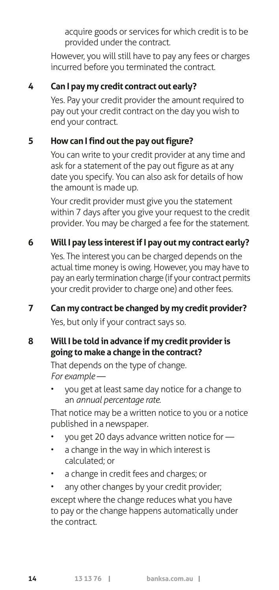acquire goods or services for which credit is to be provided under the contract.

 However, you will still have to pay any fees or charges incurred before you terminated the contract.

#### **4 Can I pay my credit contract out early?**

 Yes. Pay your credit provider the amount required to pay out your credit contract on the day you wish to end your contract.

#### **5 How can I find out the pay out figure?**

 You can write to your credit provider at any time and ask for a statement of the pay out figure as at any date you specify. You can also ask for details of how the amount is made up.

 Your credit provider must give you the statement within 7 days after you give your request to the credit provider. You may be charged a fee for the statement.

## **6 Will I pay less interest if I pay out my contract early?**

 Yes. The interest you can be charged depends on the actual time money is owing. However, you may have to pay an early termination charge (if your contract permits your credit provider to charge one) and other fees.

#### **7 Can my contract be changed by my credit provider?**

Yes, but only if your contract says so.

#### **8 Will I be told in advance if my credit provider is going to make a change in the contract?**

 That depends on the type of change. *For example* —

• you get at least same day notice for a change to an *annual percentage rate*.

 That notice may be a written notice to you or a notice published in a newspaper.

- you get 20 days advance written notice for —
- a change in the way in which interest is calculated; or
- a change in credit fees and charges; or
- any other changes by your credit provider;

 except where the change reduces what you have to pay or the change happens automatically under the contract.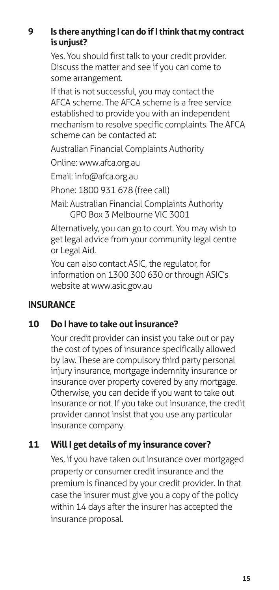#### <span id="page-18-0"></span>**9 Is there anything I can do if I think that my contract is unjust?**

 Yes. You should first talk to your credit provider. Discuss the matter and see if you can come to some arrangement.

If that is not successful, you may contact the AFCA scheme. The AFCA scheme is a free service established to provide you with an independent mechanism to resolve specific complaints. The AFCA scheme can be contacted at:

Australian Financial Complaints Authority

Online: [www.afca.org.au](http://www.afca.org.au)

Email: [info@afca.org.au](mailto:info%40afca.org.au?subject=)

Phone: 1800 931 678 (free call)

Mail: Australian Financial Complaints Authority GPO Box 3 Melbourne VIC 3001

Alternatively, you can go to court. You may wish to get legal advice from your community legal centre or Legal Aid.

You can also contact ASIC, the regulator, for information on 1300 300 630 or through ASIC's website at www.asic.gov.au

## **INSURANCE**

## **10 Do I have to take out insurance?**

 Your credit provider can insist you take out or pay the cost of types of insurance specifically allowed by law. These are compulsory third party personal injury insurance, mortgage indemnity insurance or insurance over property covered by any mortgage. Otherwise, you can decide if you want to take out insurance or not. If you take out insurance, the credit provider cannot insist that you use any particular insurance company.

## **11 Will I get details of my insurance cover?**

 Yes, if you have taken out insurance over mortgaged property or consumer credit insurance and the premium is financed by your credit provider. In that case the insurer must give you a copy of the policy within 14 days after the insurer has accepted the insurance proposal.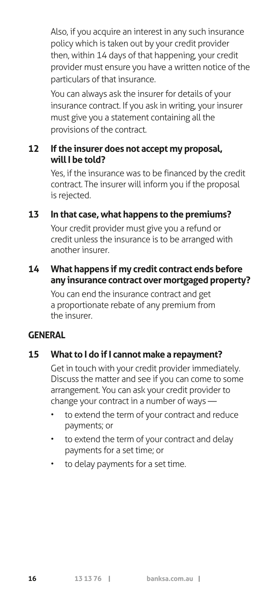<span id="page-19-0"></span> Also, if you acquire an interest in any such insurance policy which is taken out by your credit provider then, within 14 days of that happening, your credit provider must ensure you have a written notice of the particulars of that insurance.

 You can always ask the insurer for details of your insurance contract. If you ask in writing, your insurer must give you a statement containing all the provisions of the contract.

#### **12 If the insurer does not accept my proposal, will I be told?**

 Yes, if the insurance was to be financed by the credit contract. The insurer will inform you if the proposal is rejected.

#### **13 In that case, what happens to the premiums?**

 Your credit provider must give you a refund or credit unless the insurance is to be arranged with another insurer.

#### **14 What happens if my credit contract ends before any insurance contract over mortgaged property?**

 You can end the insurance contract and get a proportionate rebate of any premium from the insurer.

#### **GENERAL**

#### **15 What to I do if I cannot make a repayment?**

 Get in touch with your credit provider immediately. Discuss the matter and see if you can come to some arrangement. You can ask your credit provider to change your contract in a number of ways —

- to extend the term of your contract and reduce payments; or
- to extend the term of your contract and delay payments for a set time; or
- to delay payments for a set time.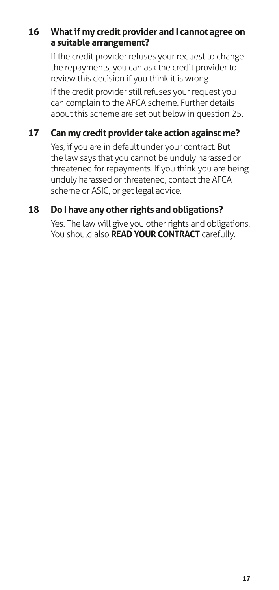## **16 What if my credit provider and I cannot agree on a suitable arrangement?**

 If the credit provider refuses your request to change the repayments, you can ask the credit provider to review this decision if you think it is wrong.

 If the credit provider still refuses your request you can complain to the AFCA scheme. Further details about this scheme are set out below in question 25.

## **17 Can my credit provider take action against me?**

 Yes, if you are in default under your contract. But the law says that you cannot be unduly harassed or threatened for repayments. If you think you are being unduly harassed or threatened, contact the AFCA scheme or ASIC, or get legal advice.

## **18 Do I have any other rights and obligations?**

 Yes. The law will give you other rights and obligations. You should also **READ YOUR CONTRACT** carefully.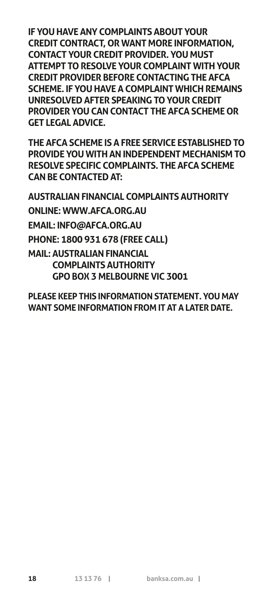**IF YOU HAVE ANY COMPLAINTS ABOUT YOUR CREDIT CONTRACT, OR WANT MORE INFORMATION, CONTACT YOUR CREDIT PROVIDER. YOU MUST ATTEMPT TO RESOLVE YOUR COMPLAINT WITH YOUR CREDIT PROVIDER BEFORE CONTACTING THE AFCA SCHEME. IF YOU HAVE A COMPLAINT WHICH REMAINS UNRESOLVED AFTER SPEAKING TO YOUR CREDIT PROVIDER YOU CAN CONTACT THE AFCA SCHEME OR GET LEGAL ADVICE.**

**THE AFCA SCHEME IS A FREE SERVICE ESTABLISHED TO PROVIDE YOU WITH AN INDEPENDENT MECHANISM TO RESOLVE SPECIFIC COMPLAINTS. THE AFCA SCHEME CAN BE CONTACTED AT:**

**AUSTRALIAN FINANCIAL COMPLAINTS AUTHORITY ONLINE: [WWW.AFCA.ORG.AU](http://WWW.AFCA.ORG.AU)  EMAIL: [INFO@AFCA.ORG.AU](mailto:INFO%40AFCA.ORG.AU?subject=) PHONE: 1800 931 678 (FREE CALL) MAIL: AUSTRALIAN FINANCIAL COMPLAINTS AUTHORITY GPO BOX 3 MELBOURNE VIC 3001**

**PLEASE KEEP THIS INFORMATION STATEMENT. YOU MAY WANT SOME INFORMATION FROM IT AT A LATER DATE.**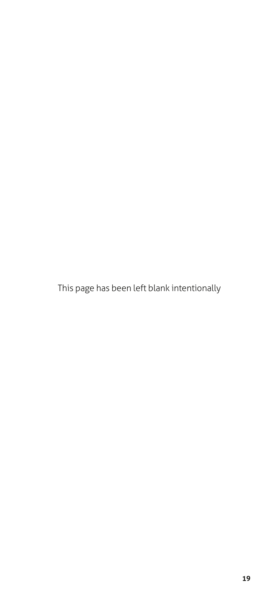This page has been left blank intentionally